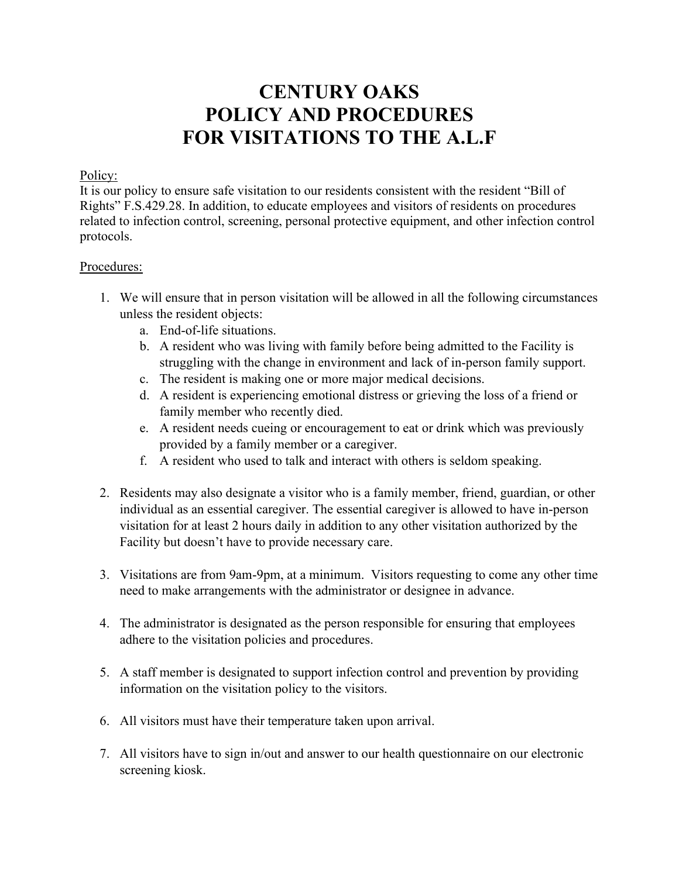## **CENTURY OAKS POLICY AND PROCEDURES FOR VISITATIONS TO THE A.L.F**

## Policy:

It is our policy to ensure safe visitation to our residents consistent with the resident "Bill of Rights" F.S.429.28. In addition, to educate employees and visitors of residents on procedures related to infection control, screening, personal protective equipment, and other infection control protocols.

## Procedures:

- 1. We will ensure that in person visitation will be allowed in all the following circumstances unless the resident objects:
	- a. End-of-life situations.
	- b. A resident who was living with family before being admitted to the Facility is struggling with the change in environment and lack of in-person family support.
	- c. The resident is making one or more major medical decisions.
	- d. A resident is experiencing emotional distress or grieving the loss of a friend or family member who recently died.
	- e. A resident needs cueing or encouragement to eat or drink which was previously provided by a family member or a caregiver.
	- f. A resident who used to talk and interact with others is seldom speaking.
- 2. Residents may also designate a visitor who is a family member, friend, guardian, or other individual as an essential caregiver. The essential caregiver is allowed to have in-person visitation for at least 2 hours daily in addition to any other visitation authorized by the Facility but doesn't have to provide necessary care.
- 3. Visitations are from 9am-9pm, at a minimum. Visitors requesting to come any other time need to make arrangements with the administrator or designee in advance.
- 4. The administrator is designated as the person responsible for ensuring that employees adhere to the visitation policies and procedures.
- 5. A staff member is designated to support infection control and prevention by providing information on the visitation policy to the visitors.
- 6. All visitors must have their temperature taken upon arrival.
- 7. All visitors have to sign in/out and answer to our health questionnaire on our electronic screening kiosk.